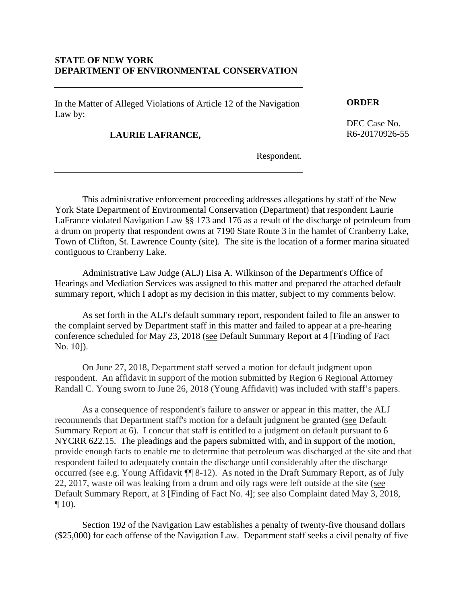## **STATE OF NEW YORK DEPARTMENT OF ENVIRONMENTAL CONSERVATION**

In the Matter of Alleged Violations of Article 12 of the Navigation Law by:

**LAURIE LAFRANCE,** 

**ORDER** 

DEC Case No. R6-20170926-55

Respondent.

This administrative enforcement proceeding addresses allegations by staff of the New York State Department of Environmental Conservation (Department) that respondent Laurie LaFrance violated Navigation Law §§ 173 and 176 as a result of the discharge of petroleum from a drum on property that respondent owns at 7190 State Route 3 in the hamlet of Cranberry Lake, Town of Clifton, St. Lawrence County (site). The site is the location of a former marina situated contiguous to Cranberry Lake.

Administrative Law Judge (ALJ) Lisa A. Wilkinson of the Department's Office of Hearings and Mediation Services was assigned to this matter and prepared the attached default summary report, which I adopt as my decision in this matter, subject to my comments below.

As set forth in the ALJ's default summary report, respondent failed to file an answer to the complaint served by Department staff in this matter and failed to appear at a pre-hearing conference scheduled for May 23, 2018 (see Default Summary Report at 4 [Finding of Fact No. 10]).

On June 27, 2018, Department staff served a motion for default judgment upon respondent. An affidavit in support of the motion submitted by Region 6 Regional Attorney Randall C. Young sworn to June 26, 2018 (Young Affidavit) was included with staff's papers.

As a consequence of respondent's failure to answer or appear in this matter, the ALJ recommends that Department staff's motion for a default judgment be granted (see Default Summary Report at 6). I concur that staff is entitled to a judgment on default pursuant to 6 NYCRR 622.15. The pleadings and the papers submitted with, and in support of the motion, provide enough facts to enable me to determine that petroleum was discharged at the site and that respondent failed to adequately contain the discharge until considerably after the discharge occurred (see e.g. Young Affidavit ¶¶ 8-12). As noted in the Draft Summary Report, as of July 22, 2017, waste oil was leaking from a drum and oily rags were left outside at the site (see Default Summary Report, at 3 [Finding of Fact No. 4]; <u>see also</u> Complaint dated May 3, 2018,  $\P$  10).

Section 192 of the Navigation Law establishes a penalty of twenty-five thousand dollars (\$25,000) for each offense of the Navigation Law. Department staff seeks a civil penalty of five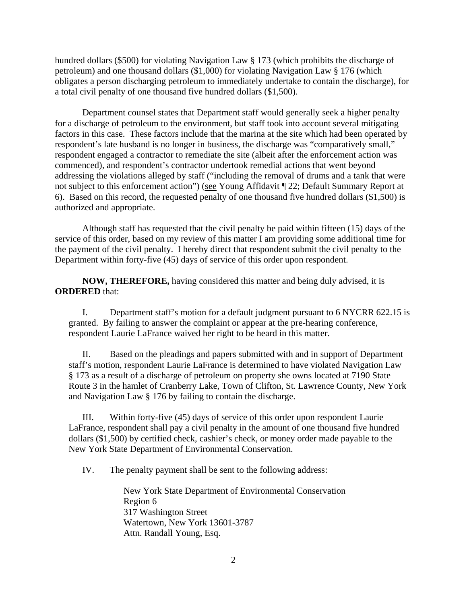hundred dollars (\$500) for violating Navigation Law § 173 (which prohibits the discharge of petroleum) and one thousand dollars (\$1,000) for violating Navigation Law § 176 (which obligates a person discharging petroleum to immediately undertake to contain the discharge), for a total civil penalty of one thousand five hundred dollars (\$1,500).

Department counsel states that Department staff would generally seek a higher penalty for a discharge of petroleum to the environment, but staff took into account several mitigating factors in this case. These factors include that the marina at the site which had been operated by respondent's late husband is no longer in business, the discharge was "comparatively small," respondent engaged a contractor to remediate the site (albeit after the enforcement action was commenced), and respondent's contractor undertook remedial actions that went beyond addressing the violations alleged by staff ("including the removal of drums and a tank that were not subject to this enforcement action") (see Young Affidavit ¶ 22; Default Summary Report at 6). Based on this record, the requested penalty of one thousand five hundred dollars (\$1,500) is authorized and appropriate.

Although staff has requested that the civil penalty be paid within fifteen (15) days of the service of this order, based on my review of this matter I am providing some additional time for the payment of the civil penalty. I hereby direct that respondent submit the civil penalty to the Department within forty-five (45) days of service of this order upon respondent.

**NOW, THEREFORE,** having considered this matter and being duly advised, it is **ORDERED** that:

I. Department staff's motion for a default judgment pursuant to 6 NYCRR 622.15 is granted. By failing to answer the complaint or appear at the pre-hearing conference, respondent Laurie LaFrance waived her right to be heard in this matter.

II. Based on the pleadings and papers submitted with and in support of Department staff's motion, respondent Laurie LaFrance is determined to have violated Navigation Law § 173 as a result of a discharge of petroleum on property she owns located at 7190 State Route 3 in the hamlet of Cranberry Lake, Town of Clifton, St. Lawrence County, New York and Navigation Law § 176 by failing to contain the discharge.

III. Within forty-five (45) days of service of this order upon respondent Laurie LaFrance, respondent shall pay a civil penalty in the amount of one thousand five hundred dollars (\$1,500) by certified check, cashier's check, or money order made payable to the New York State Department of Environmental Conservation.

IV. The penalty payment shall be sent to the following address:

New York State Department of Environmental Conservation Region 6 317 Washington Street Watertown, New York 13601-3787 Attn. Randall Young, Esq.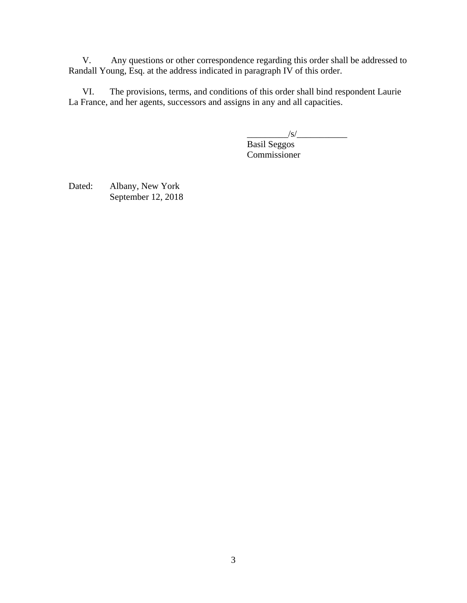V. Any questions or other correspondence regarding this order shall be addressed to Randall Young, Esq. at the address indicated in paragraph IV of this order.

VI. The provisions, terms, and conditions of this order shall bind respondent Laurie La France, and her agents, successors and assigns in any and all capacities.

 $\frac{1}{s}$ 

 Basil Seggos Commissioner

Dated: Albany, New York September 12, 2018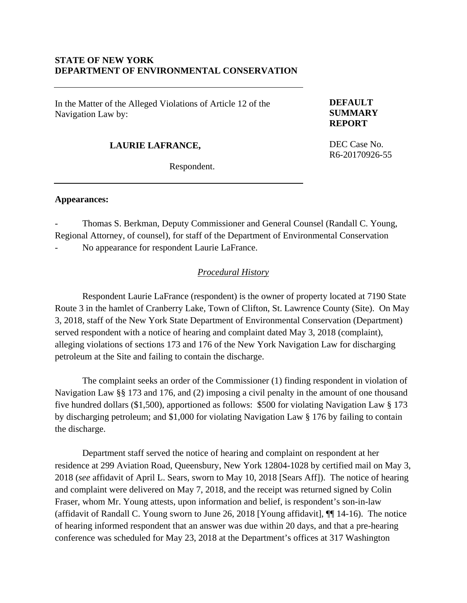## **STATE OF NEW YORK DEPARTMENT OF ENVIRONMENTAL CONSERVATION**

In the Matter of the Alleged Violations of Article 12 of the Navigation Law by:

### **DEFAULT SUMMARY REPORT**

DEC Case No. R6-20170926-55

# **LAURIE LAFRANCE,**

Respondent.

#### **Appearances:**

- Thomas S. Berkman, Deputy Commissioner and General Counsel (Randall C. Young, Regional Attorney, of counsel), for staff of the Department of Environmental Conservation

No appearance for respondent Laurie LaFrance.

### *Procedural History*

 Respondent Laurie LaFrance (respondent) is the owner of property located at 7190 State Route 3 in the hamlet of Cranberry Lake, Town of Clifton, St. Lawrence County (Site). On May 3, 2018, staff of the New York State Department of Environmental Conservation (Department) served respondent with a notice of hearing and complaint dated May 3, 2018 (complaint), alleging violations of sections 173 and 176 of the New York Navigation Law for discharging petroleum at the Site and failing to contain the discharge.

The complaint seeks an order of the Commissioner (1) finding respondent in violation of Navigation Law §§ 173 and 176, and (2) imposing a civil penalty in the amount of one thousand five hundred dollars (\$1,500), apportioned as follows: \$500 for violating Navigation Law § 173 by discharging petroleum; and \$1,000 for violating Navigation Law § 176 by failing to contain the discharge.

Department staff served the notice of hearing and complaint on respondent at her residence at 299 Aviation Road, Queensbury, New York 12804-1028 by certified mail on May 3, 2018 (*see* affidavit of April L. Sears, sworn to May 10, 2018 [Sears Aff]). The notice of hearing and complaint were delivered on May 7, 2018, and the receipt was returned signed by Colin Fraser, whom Mr. Young attests, upon information and belief, is respondent's son-in-law (affidavit of Randall C. Young sworn to June 26, 2018 [Young affidavit], ¶¶ 14-16). The notice of hearing informed respondent that an answer was due within 20 days, and that a pre-hearing conference was scheduled for May 23, 2018 at the Department's offices at 317 Washington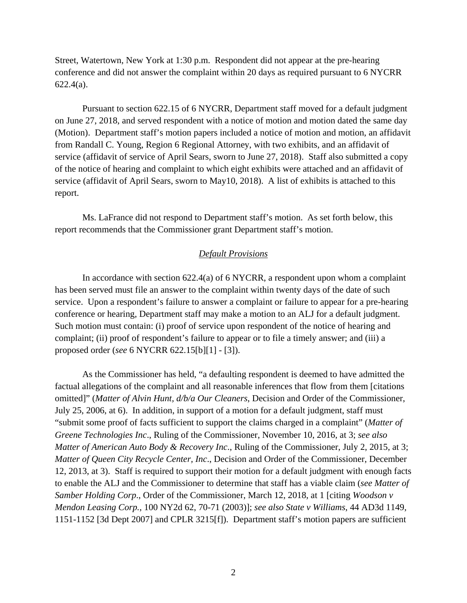Street, Watertown, New York at 1:30 p.m. Respondent did not appear at the pre-hearing conference and did not answer the complaint within 20 days as required pursuant to 6 NYCRR 622.4(a).

Pursuant to section 622.15 of 6 NYCRR, Department staff moved for a default judgment on June 27, 2018, and served respondent with a notice of motion and motion dated the same day (Motion). Department staff's motion papers included a notice of motion and motion, an affidavit from Randall C. Young, Region 6 Regional Attorney, with two exhibits, and an affidavit of service (affidavit of service of April Sears, sworn to June 27, 2018). Staff also submitted a copy of the notice of hearing and complaint to which eight exhibits were attached and an affidavit of service (affidavit of April Sears, sworn to May10, 2018). A list of exhibits is attached to this report.

Ms. LaFrance did not respond to Department staff's motion. As set forth below, this report recommends that the Commissioner grant Department staff's motion.

### *Default Provisions*

In accordance with section  $622.4(a)$  of 6 NYCRR, a respondent upon whom a complaint has been served must file an answer to the complaint within twenty days of the date of such service. Upon a respondent's failure to answer a complaint or failure to appear for a pre-hearing conference or hearing, Department staff may make a motion to an ALJ for a default judgment. Such motion must contain: (i) proof of service upon respondent of the notice of hearing and complaint; (ii) proof of respondent's failure to appear or to file a timely answer; and (iii) a proposed order (*see* 6 NYCRR 622.15[b][1] - [3]).

As the Commissioner has held, "a defaulting respondent is deemed to have admitted the factual allegations of the complaint and all reasonable inferences that flow from them [citations omitted]" (*Matter of Alvin Hunt, d/b/a Our Cleaners*, Decision and Order of the Commissioner, July 25, 2006, at 6). In addition, in support of a motion for a default judgment, staff must "submit some proof of facts sufficient to support the claims charged in a complaint" (*Matter of Greene Technologies Inc*., Ruling of the Commissioner, November 10, 2016, at 3; *see also Matter of American Auto Body & Recovery Inc*., Ruling of the Commissioner, July 2, 2015, at 3; *Matter of Queen City Recycle Center, Inc*., Decision and Order of the Commissioner, December 12, 2013, at 3). Staff is required to support their motion for a default judgment with enough facts to enable the ALJ and the Commissioner to determine that staff has a viable claim (*see Matter of Samber Holding Corp*., Order of the Commissioner, March 12, 2018, at 1 [citing *Woodson v Mendon Leasing Corp.*, 100 NY2d 62, 70-71 (2003)]; *see also State v Williams*, 44 AD3d 1149, 1151-1152 [3d Dept 2007] and CPLR 3215[f]). Department staff's motion papers are sufficient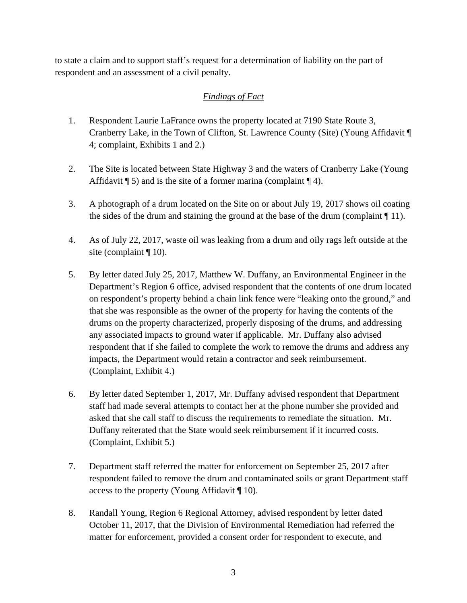to state a claim and to support staff's request for a determination of liability on the part of respondent and an assessment of a civil penalty.

# *Findings of Fact*

- 1. Respondent Laurie LaFrance owns the property located at 7190 State Route 3, Cranberry Lake, in the Town of Clifton, St. Lawrence County (Site) (Young Affidavit ¶ 4; complaint, Exhibits 1 and 2.)
- 2. The Site is located between State Highway 3 and the waters of Cranberry Lake (Young Affidavit  $\P$  5) and is the site of a former marina (complaint  $\P$  4).
- 3. A photograph of a drum located on the Site on or about July 19, 2017 shows oil coating the sides of the drum and staining the ground at the base of the drum (complaint  $\P$  11).
- 4. As of July 22, 2017, waste oil was leaking from a drum and oily rags left outside at the site (complaint  $\P$  10).
- 5. By letter dated July 25, 2017, Matthew W. Duffany, an Environmental Engineer in the Department's Region 6 office, advised respondent that the contents of one drum located on respondent's property behind a chain link fence were "leaking onto the ground," and that she was responsible as the owner of the property for having the contents of the drums on the property characterized, properly disposing of the drums, and addressing any associated impacts to ground water if applicable. Mr. Duffany also advised respondent that if she failed to complete the work to remove the drums and address any impacts, the Department would retain a contractor and seek reimbursement. (Complaint, Exhibit 4.)
- 6. By letter dated September 1, 2017, Mr. Duffany advised respondent that Department staff had made several attempts to contact her at the phone number she provided and asked that she call staff to discuss the requirements to remediate the situation. Mr. Duffany reiterated that the State would seek reimbursement if it incurred costs. (Complaint, Exhibit 5.)
- 7. Department staff referred the matter for enforcement on September 25, 2017 after respondent failed to remove the drum and contaminated soils or grant Department staff access to the property (Young Affidavit ¶ 10).
- 8. Randall Young, Region 6 Regional Attorney, advised respondent by letter dated October 11, 2017, that the Division of Environmental Remediation had referred the matter for enforcement, provided a consent order for respondent to execute, and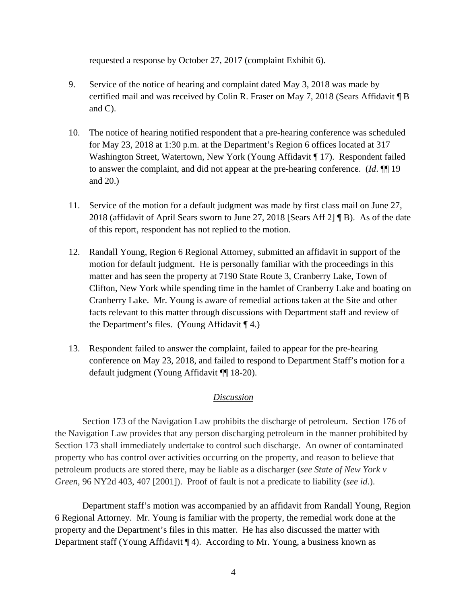requested a response by October 27, 2017 (complaint Exhibit 6).

- 9. Service of the notice of hearing and complaint dated May 3, 2018 was made by certified mail and was received by Colin R. Fraser on May 7, 2018 (Sears Affidavit ¶ B and C).
- 10. The notice of hearing notified respondent that a pre-hearing conference was scheduled for May 23, 2018 at 1:30 p.m. at the Department's Region 6 offices located at 317 Washington Street, Watertown, New York (Young Affidavit ¶ 17). Respondent failed to answer the complaint, and did not appear at the pre-hearing conference. (*Id*. ¶¶ 19 and 20.)
- 11. Service of the motion for a default judgment was made by first class mail on June 27, 2018 (affidavit of April Sears sworn to June 27, 2018 [Sears Aff 2] ¶ B). As of the date of this report, respondent has not replied to the motion.
- 12. Randall Young, Region 6 Regional Attorney, submitted an affidavit in support of the motion for default judgment. He is personally familiar with the proceedings in this matter and has seen the property at 7190 State Route 3, Cranberry Lake, Town of Clifton, New York while spending time in the hamlet of Cranberry Lake and boating on Cranberry Lake. Mr. Young is aware of remedial actions taken at the Site and other facts relevant to this matter through discussions with Department staff and review of the Department's files. (Young Affidavit  $\P$  4.)
- 13. Respondent failed to answer the complaint, failed to appear for the pre-hearing conference on May 23, 2018, and failed to respond to Department Staff's motion for a default judgment (Young Affidavit ¶¶ 18-20).

# *Discussion*

Section 173 of the Navigation Law prohibits the discharge of petroleum. Section 176 of the Navigation Law provides that any person discharging petroleum in the manner prohibited by Section 173 shall immediately undertake to control such discharge. An owner of contaminated property who has control over activities occurring on the property, and reason to believe that petroleum products are stored there, may be liable as a discharger (*see State of New York v Green*, 96 NY2d 403, 407 [2001]). Proof of fault is not a predicate to liability (*see id*.).

Department staff's motion was accompanied by an affidavit from Randall Young, Region 6 Regional Attorney. Mr. Young is familiar with the property, the remedial work done at the property and the Department's files in this matter. He has also discussed the matter with Department staff (Young Affidavit ¶ 4). According to Mr. Young, a business known as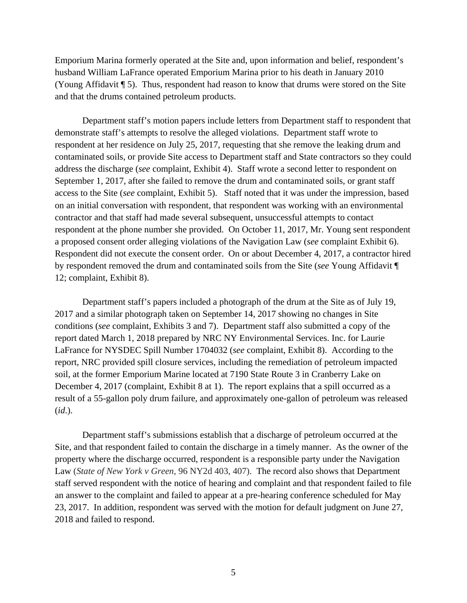Emporium Marina formerly operated at the Site and, upon information and belief, respondent's husband William LaFrance operated Emporium Marina prior to his death in January 2010 (Young Affidavit ¶ 5). Thus, respondent had reason to know that drums were stored on the Site and that the drums contained petroleum products.

Department staff's motion papers include letters from Department staff to respondent that demonstrate staff's attempts to resolve the alleged violations. Department staff wrote to respondent at her residence on July 25, 2017, requesting that she remove the leaking drum and contaminated soils, or provide Site access to Department staff and State contractors so they could address the discharge (*see* complaint, Exhibit 4). Staff wrote a second letter to respondent on September 1, 2017, after she failed to remove the drum and contaminated soils, or grant staff access to the Site (*see* complaint, Exhibit 5). Staff noted that it was under the impression, based on an initial conversation with respondent, that respondent was working with an environmental contractor and that staff had made several subsequent, unsuccessful attempts to contact respondent at the phone number she provided. On October 11, 2017, Mr. Young sent respondent a proposed consent order alleging violations of the Navigation Law (*see* complaint Exhibit 6). Respondent did not execute the consent order. On or about December 4, 2017, a contractor hired by respondent removed the drum and contaminated soils from the Site (*see* Young Affidavit ¶ 12; complaint, Exhibit 8).

Department staff's papers included a photograph of the drum at the Site as of July 19, 2017 and a similar photograph taken on September 14, 2017 showing no changes in Site conditions (*see* complaint, Exhibits 3 and 7). Department staff also submitted a copy of the report dated March 1, 2018 prepared by NRC NY Environmental Services. Inc. for Laurie LaFrance for NYSDEC Spill Number 1704032 (*see* complaint, Exhibit 8). According to the report, NRC provided spill closure services, including the remediation of petroleum impacted soil, at the former Emporium Marine located at 7190 State Route 3 in Cranberry Lake on December 4, 2017 (complaint, Exhibit 8 at 1). The report explains that a spill occurred as a result of a 55-gallon poly drum failure, and approximately one-gallon of petroleum was released (*id*.).

Department staff's submissions establish that a discharge of petroleum occurred at the Site, and that respondent failed to contain the discharge in a timely manner. As the owner of the property where the discharge occurred, respondent is a responsible party under the Navigation Law (*State of New York v Green*, 96 NY2d 403, 407). The record also shows that Department staff served respondent with the notice of hearing and complaint and that respondent failed to file an answer to the complaint and failed to appear at a pre-hearing conference scheduled for May 23, 2017. In addition, respondent was served with the motion for default judgment on June 27, 2018 and failed to respond.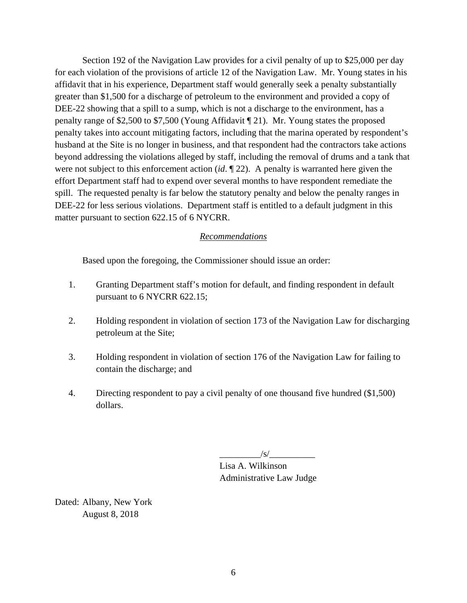Section 192 of the Navigation Law provides for a civil penalty of up to \$25,000 per day for each violation of the provisions of article 12 of the Navigation Law. Mr. Young states in his affidavit that in his experience, Department staff would generally seek a penalty substantially greater than \$1,500 for a discharge of petroleum to the environment and provided a copy of DEE-22 showing that a spill to a sump, which is not a discharge to the environment, has a penalty range of \$2,500 to \$7,500 (Young Affidavit ¶ 21). Mr. Young states the proposed penalty takes into account mitigating factors, including that the marina operated by respondent's husband at the Site is no longer in business, and that respondent had the contractors take actions beyond addressing the violations alleged by staff, including the removal of drums and a tank that were not subject to this enforcement action (*id*. ¶ 22). A penalty is warranted here given the effort Department staff had to expend over several months to have respondent remediate the spill. The requested penalty is far below the statutory penalty and below the penalty ranges in DEE-22 for less serious violations. Department staff is entitled to a default judgment in this matter pursuant to section 622.15 of 6 NYCRR.

### *Recommendations*

Based upon the foregoing, the Commissioner should issue an order:

- 1. Granting Department staff's motion for default, and finding respondent in default pursuant to 6 NYCRR 622.15;
- 2. Holding respondent in violation of section 173 of the Navigation Law for discharging petroleum at the Site;
- 3. Holding respondent in violation of section 176 of the Navigation Law for failing to contain the discharge; and
- 4. Directing respondent to pay a civil penalty of one thousand five hundred (\$1,500) dollars.

 $/s/$ 

 Lisa A. Wilkinson Administrative Law Judge

Dated: Albany, New York August 8, 2018